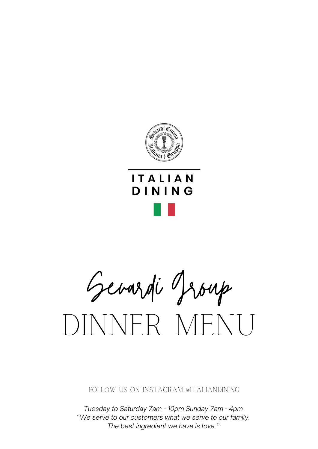



Sevardi Group DINNER MENU

Follow us on Instagram @italiandining

*Tuesday to Saturday 7am - 10pm Sunday 7am - 4pm "We serve to our customers what we serve to our family. The best ingredient we have is love."*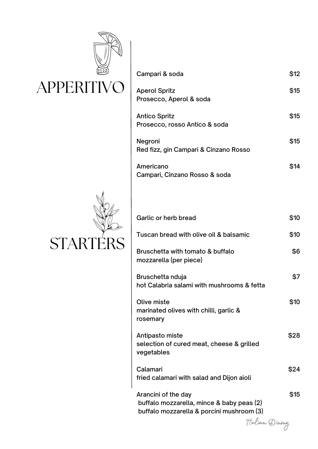

| Campari & soda                                        | \$12. |
|-------------------------------------------------------|-------|
| <b>Aperol Spritz</b><br>Prosecco, Aperol & soda       | \$15  |
| <b>Antico Spritz</b><br>Prosecco, rosso Antico & soda | \$15  |
| Negroni<br>Red fizz, gin Campari & Cinzano Rosso      | \$15  |
| Americano<br>Campari, Cinzano Rosso & soda            |       |



| Garlic or herb bread                                                                                          | \$10 |
|---------------------------------------------------------------------------------------------------------------|------|
| Tuscan bread with olive oil & balsamic                                                                        | \$10 |
| Bruschetta with tomato & buffalo<br>mozzarella (per piece)                                                    | \$6  |
| Bruschetta nduja<br>hot Calabria salami with mushrooms & fetta                                                | \$7  |
| Olive miste<br>marinated olives with chilli, garlic &<br>rosemary                                             | \$10 |
| Antipasto miste<br>selection of cured meat, cheese & grilled<br>vegetables                                    | \$28 |
| Calamari<br>fried calamari with salad and Dijon aioli                                                         | \$24 |
| Arancini of the day<br>buffalo mozzarella, mince & baby peas (2)<br>buffalo mozzarella & porcini mushroom (3) | \$15 |
| Halian Dining                                                                                                 |      |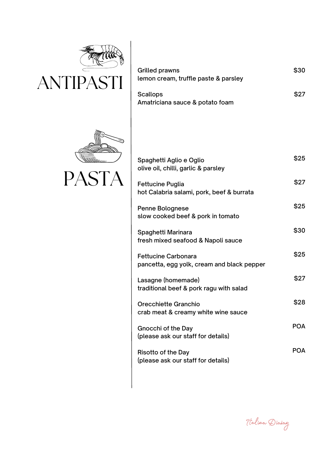

## ANTIPASTI

| <b>Grilled prawns</b><br>lemon cream, truffle paste & parsley | \$30 |
|---------------------------------------------------------------|------|
| <b>Scallops</b><br>Amatriciana sauce & potato foam            | \$27 |





| Spaghetti Aglio e Oglio<br>olive oil, chilli, garlic & parsley           | \$25       |
|--------------------------------------------------------------------------|------------|
| <b>Fettucine Puglia</b><br>hot Calabria salami, pork, beef & burrata     | \$27       |
| Penne Bolognese<br>slow cooked beef & pork in tomato                     | \$25       |
| Spaghetti Marinara<br>fresh mixed seafood & Napoli sauce                 | \$30       |
| <b>Fettucine Carbonara</b><br>pancetta, egg yolk, cream and black pepper | \$25       |
| Lasagne (homemade)<br>traditional beef & pork ragu with salad            | \$27       |
| Orecchiette Granchio<br>crab meat & creamy white wine sauce              | \$28       |
| Gnocchi of the Day<br>(please ask our staff for details)                 | <b>POA</b> |
| Risotto of the Day<br>(please ask our staff for details)                 | POA        |

Italian Dining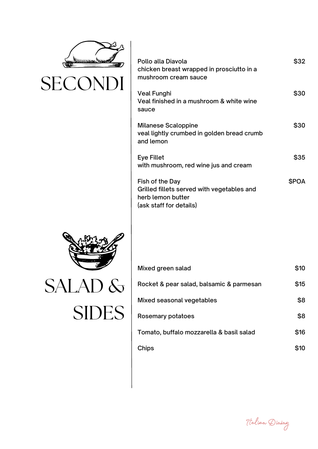

## SECONDI





SIDES

SALAD &

| Mixed green salad                        | \$10 |
|------------------------------------------|------|
| Rocket & pear salad, balsamic & parmesan | \$15 |
| Mixed seasonal vegetables                | \$8  |
| Rosemary potatoes                        | \$8  |
| Tomato, buffalo mozzarella & basil salad | \$16 |
| Chips                                    |      |

Italian Dining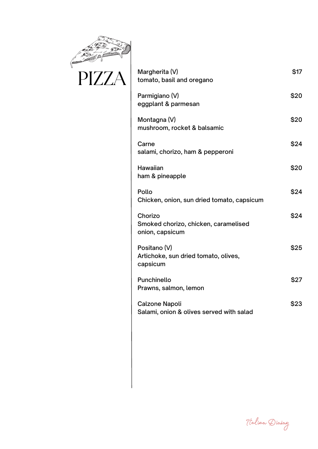

| Margherita (V)<br>tomato, basil and oregano                        | \$17 |
|--------------------------------------------------------------------|------|
| Parmigiano (V)<br>eggplant & parmesan                              | \$20 |
| Montagna (V)<br>mushroom, rocket & balsamic                        | \$20 |
| Carne<br>salami, chorizo, ham & pepperoni                          | \$24 |
| Hawaiian<br>ham & pineapple                                        | \$20 |
| Pollo<br>Chicken, onion, sun dried tomato, capsicum                | \$24 |
| Chorizo<br>Smoked chorizo, chicken, caramelised<br>onion, capsicum | \$24 |
| Positano (V)<br>Artichoke, sun dried tomato, olives,<br>capsicum   | \$25 |
| Punchinello<br>Prawns, salmon, lemon                               | \$27 |
| <b>Calzone Napoli</b><br>Salami, onion & olives served with salad  | \$23 |

Italian Dining